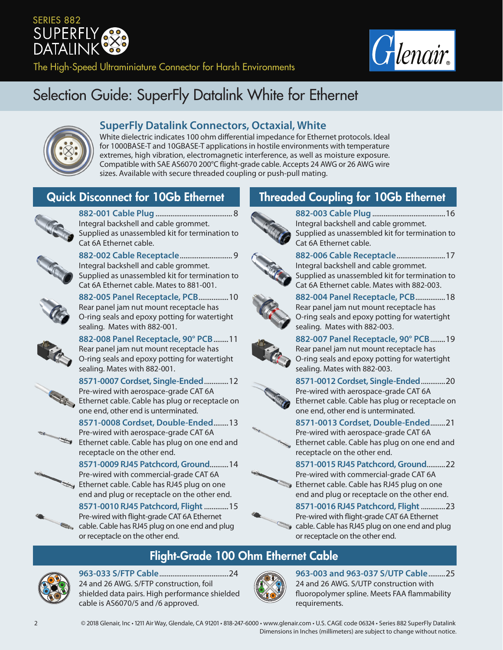# SERIES 882 **SUPERFLY** DATALINK



The High-Speed Ultraminiature Connector for Harsh Environments

# Selection Guide: SuperFly Datalink White for Ethernet



#### **SuperFly Datalink Connectors, Octaxial, White**

White dielectric indicates 100 ohm differential impedance for Ethernet protocols. Ideal for 1000BASE-T and 10GBASE-T applications in hostile environments with temperature extremes, high vibration, electromagnetic interference, as well as moisture exposure. Compatible with SAE AS6070 200°C flight-grade cable. Accepts 24 AWG or 26 AWG wire sizes. Available with secure threaded coupling or push-pull mating.



**882-001 Cable Plug**......................................... 8 Integral backshell and cable grommet. Supplied as unassembled kit for termination to Cat 6A Ethernet cable.



**882-002 Cable Receptacle**............................ 9 Integral backshell and cable grommet. Supplied as unassembled kit for termination to Cat 6A Ethernet cable. Mates to 881-001.



**882-005 Panel Receptacle, PCB**................10 Rear panel jam nut mount receptacle has O-ring seals and epoxy potting for watertight sealing. Mates with 882-001.



**882-008 Panel Receptacle, 90° PCB**........11 Rear panel jam nut mount receptacle has O-ring seals and epoxy potting for watertight sealing. Mates with 882-001.



**8571-0007 Cordset, Single-Ended**.............12 Pre-wired with aerospace-grade CAT 6A Ethernet cable. Cable has plug or receptacle on one end, other end is unterminated.



**8571-0008 Cordset, Double-Ended**........13 Pre-wired with aerospace-grade CAT 6A Ethernet cable. Cable has plug on one end and receptacle on the other end.



**8571-0010 RJ45 Patchcord, Flight**.............15 Pre-wired with flight-grade CAT 6A Ethernet cable. Cable has RJ45 plug on one end and plug or receptacle on the other end.

# Quick Disconnect for 10Gb Ethernet Threaded Coupling for 10Gb Ethernet



**882-003 Cable Plug**.......................................16 Integral backshell and cable grommet. Supplied as unassembled kit for termination to Cat 6A Ethernet cable.



**882-006 Cable Receptacle**..........................17 Integral backshell and cable grommet. Supplied as unassembled kit for termination to Cat 6A Ethernet cable. Mates with 882-003.



**882-004 Panel Receptacle, PCB**................18 Rear panel jam nut mount receptacle has O-ring seals and epoxy potting for watertight sealing. Mates with 882-003.



**882-007 Panel Receptacle, 90° PCB**........19 Rear panel jam nut mount receptacle has O-ring seals and epoxy potting for watertight sealing. Mates with 882-003.



**8571-0012 Cordset, Single-Ended**.............20 Pre-wired with aerospace-grade CAT 6A Ethernet cable. Cable has plug or receptacle on one end, other end is unterminated.

#### **8571-0013 Cordset, Double-Ended**........21



Pre-wired with aerospace-grade CAT 6A Ethernet cable. Cable has plug on one end and receptacle on the other end. **8571-0015 RJ45 Patchcord, Ground**..........22



**8571-0016 RJ45 Patchcord, Flight**.............23 Pre-wired with flight-grade CAT 6A Ethernet cable. Cable has RJ45 plug on one end and plug or receptacle on the other end.

## Flight-Grade 100 Ohm Ethernet Cable



**963-033 S/FTP Cable**.....................................24 24 and 26 AWG. S/FTP construction, foil shielded data pairs. High performance shielded cable is AS6070/5 and /6 approved.



**963-003 and 963-037 S/UTP Cable**.........25 24 and 26 AWG. S/UTP construction with fluoropolymer spline. Meets FAA flammability requirements.

2 © 2018 Glenair, Inc • 1211 Air Way, Glendale, CA 91201 • 818-247-6000 • www.glenair.com • U.S. CAGE code 06324 • Series 882 SuperFly Datalink Dimensions in Inches (millimeters) are subject to change without notice.